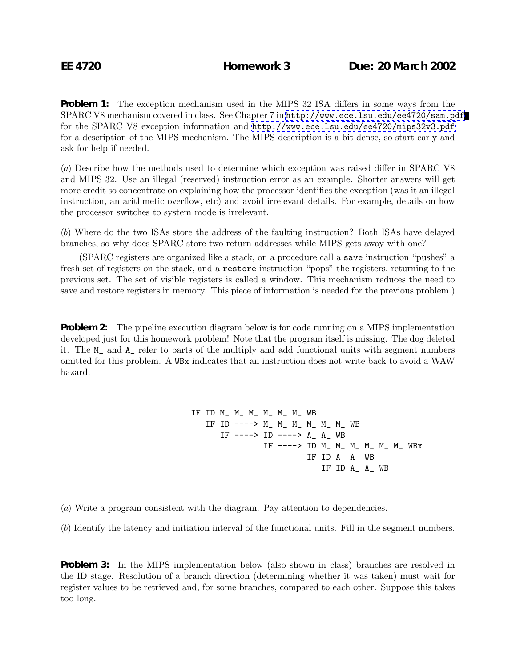**Problem 1:** The exception mechanism used in the MIPS 32 ISA differs in some ways from the SPARC V8 mechanism covered in class. See Chapter 7 in <http://www.ece.lsu.edu/ee4720/sam.pdf> for the SPARC V8 exception information and <http://www.ece.lsu.edu/ee4720/mips32v3.pdf> for a description of the MIPS mechanism. The MIPS description is a bit dense, so start early and ask for help if needed.

(a) Describe how the methods used to determine which exception was raised differ in SPARC V8 and MIPS 32. Use an illegal (reserved) instruction error as an example. Shorter answers will get more credit so concentrate on explaining how the processor identifies the exception (was it an illegal instruction, an arithmetic overflow, etc) and avoid irrelevant details. For example, details on how the processor switches to system mode is irrelevant.

(b) Where do the two ISAs store the address of the faulting instruction? Both ISAs have delayed branches, so why does SPARC store two return addresses while MIPS gets away with one?

(SPARC registers are organized like a stack, on a procedure call a save instruction "pushes" a fresh set of registers on the stack, and a restore instruction "pops" the registers, returning to the previous set. The set of visible registers is called a window. This mechanism reduces the need to save and restore registers in memory. This piece of information is needed for the previous problem.)

**Problem 2:** The pipeline execution diagram below is for code running on a MIPS implementation developed just for this homework problem! Note that the program itself is missing. The dog deleted it. The M\_ and A\_ refer to parts of the multiply and add functional units with segment numbers omitted for this problem. A WBx indicates that an instruction does not write back to avoid a WAW hazard.

> IF ID M\_ M\_ M\_ M\_ M\_ M\_ WB IF ID ----> M\_ M\_ M\_ M\_ M\_ M\_ WB IF ----> ID ----> A\_ A\_ WB IF ----> ID M\_ M\_ M\_ M\_ M\_ M\_ WBx IF ID A\_ A\_ WB IF ID A\_ A\_ WB

(a) Write a program consistent with the diagram. Pay attention to dependencies.

(b) Identify the latency and initiation interval of the functional units. Fill in the segment numbers.

**Problem 3:** In the MIPS implementation below (also shown in class) branches are resolved in the ID stage. Resolution of a branch direction (determining whether it was taken) must wait for register values to be retrieved and, for some branches, compared to each other. Suppose this takes too long.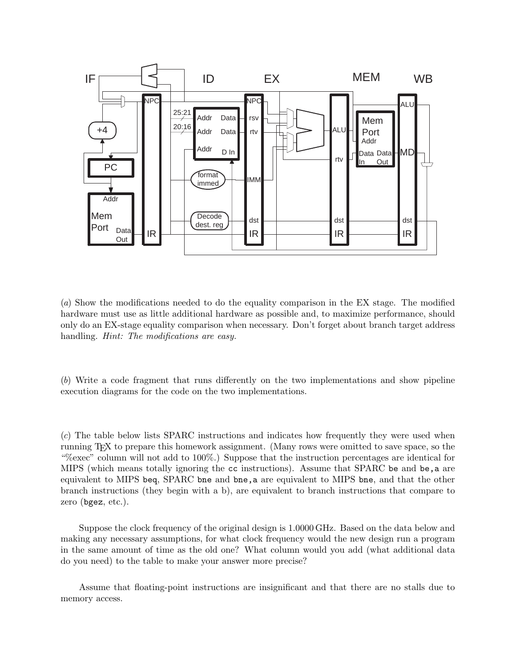

(a) Show the modifications needed to do the equality comparison in the EX stage. The modified hardware must use as little additional hardware as possible and, to maximize performance, should only do an EX-stage equality comparison when necessary. Don't forget about branch target address handling. *Hint:* The modifications are easy.

(b) Write a code fragment that runs differently on the two implementations and show pipeline execution diagrams for the code on the two implementations.

(c) The table below lists SPARC instructions and indicates how frequently they were used when running TEX to prepare this homework assignment. (Many rows were omitted to save space, so the "%exec" column will not add to 100%.) Suppose that the instruction percentages are identical for MIPS (which means totally ignoring the cc instructions). Assume that SPARC be and be, a are equivalent to MIPS beq, SPARC bne and bne,a are equivalent to MIPS bne, and that the other branch instructions (they begin with a b), are equivalent to branch instructions that compare to zero (bgez, etc.).

Suppose the clock frequency of the original design is 1.0000 GHz. Based on the data below and making any necessary assumptions, for what clock frequency would the new design run a program in the same amount of time as the old one? What column would you add (what additional data do you need) to the table to make your answer more precise?

Assume that floating-point instructions are insignificant and that there are no stalls due to memory access.